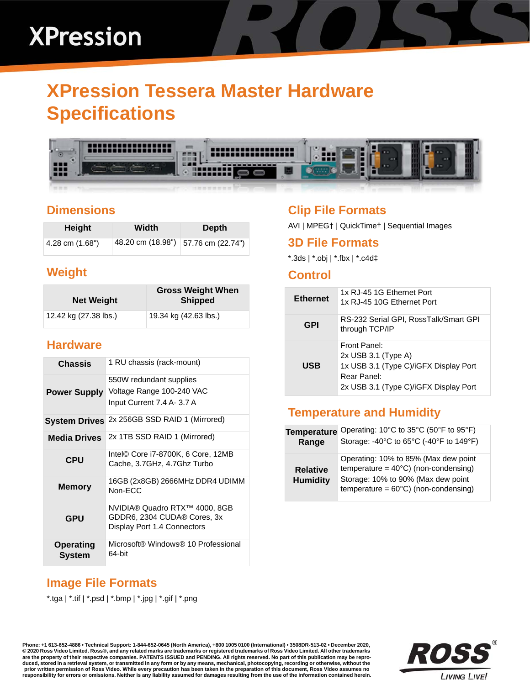## **XPression**

### **XPression Tessera Master Hardware Specifications**



#### **Dimensions**

| Height          | Width                               | Depth |
|-----------------|-------------------------------------|-------|
| 4.28 cm (1.68") | 48.20 cm (18.98") 57.76 cm (22.74") |       |

#### **Weight**

| <b>Net Weight</b>     | <b>Gross Weight When</b><br><b>Shipped</b> |
|-----------------------|--------------------------------------------|
| 12.42 kg (27.38 lbs.) | 19.34 kg (42.63 lbs.)                      |

#### **Hardware**

| Chassis                    | 1 RU chassis (rack-mount)                                                                   |
|----------------------------|---------------------------------------------------------------------------------------------|
| <b>Power Supply</b>        | 550W redundant supplies<br>Voltage Range 100-240 VAC<br>Input Current 7.4 A- 3.7 A          |
|                            | System Drives 2x 256GB SSD RAID 1 (Mirrored)                                                |
| <b>Media Drives</b>        | 2x 1TB SSD RAID 1 (Mirrored)                                                                |
| <b>CPU</b>                 | Intel© Core i7-8700K, 6 Core, 12MB<br>Cache, 3.7GHz, 4.7Ghz Turbo                           |
| <b>Memory</b>              | 16GB (2x8GB) 2666MHz DDR4 UDIMM<br>Non-ECC                                                  |
| <b>GPU</b>                 | NVIDIA® Quadro RTX™ 4000, 8GB<br>GDDR6, 2304 CUDA® Cores, 3x<br>Display Port 1.4 Connectors |
| <b>Operating</b><br>System | Microsoft® Windows® 10 Professional<br>64-bit                                               |

#### **Clip File Formats**

AVI | MPEG† | QuickTime† | Sequential Images

#### **3D File Formats**

\*.3ds | \*.obj | \*.fbx | \*.c4d‡

#### **Control**

| <b>Ethernet</b> | 1x RJ-45 1G Ethernet Port<br>1x RJ-45 10G Ethernet Port                                                                                |
|-----------------|----------------------------------------------------------------------------------------------------------------------------------------|
| GPI             | RS-232 Serial GPI, RossTalk/Smart GPI<br>through TCP/IP                                                                                |
| USB             | Front Panel:<br>$2x$ USB 3.1 (Type A)<br>1x USB 3.1 (Type C)/iGFX Display Port<br>Rear Panel:<br>2x USB 3.1 (Type C)/iGFX Display Port |

#### **Temperature and Humidity**

| <b>Temperature</b>                 | Operating: 10°C to 35°C (50°F to 95°F)                                                                                                                                         |
|------------------------------------|--------------------------------------------------------------------------------------------------------------------------------------------------------------------------------|
| Range                              | Storage: -40°C to 65°C (-40°F to 149°F)                                                                                                                                        |
| <b>Relative</b><br><b>Humidity</b> | Operating: 10% to 85% (Max dew point<br>temperature = $40^{\circ}$ C) (non-condensing)<br>Storage: 10% to 90% (Max dew point<br>temperature = $60^{\circ}$ C) (non-condensing) |

#### **Image File Formats**

\*.tga | \*.tif | \*.psd | \*.bmp | \*.jpg | \*.gif | \*.png

**Phone: +1 613-652-4886 • Technical Support: 1-844-652-0645 (North America), +800 1005 0100 (International) • 3508DR-513-02 • December 2020, © 2020 Ross Video Limited. Ross®, and any related marks are trademarks or registered trademarks of Ross Video Limited. All other trademarks are the property of their respective companies. PATENTS ISSUED and PENDING. All rights reserved. No part of this publication may be repro**duced, stored in a retrieval system, or transmitted in any form or by any means, mechanical, photocopying, recording or otherwise, without the<br>prior written permission of Ross Video. While every precaution has been taken i